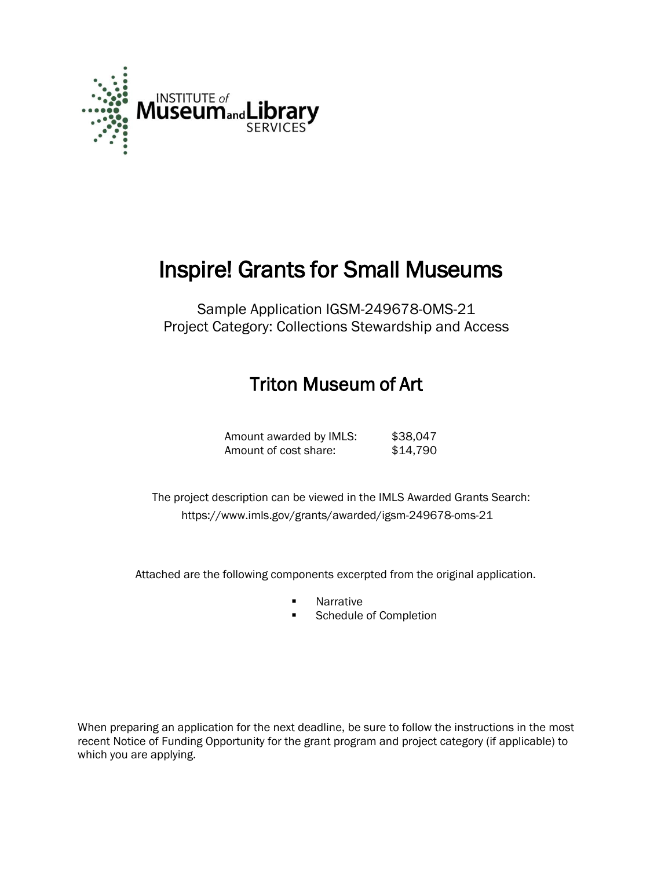

# Inspire! Grants for Small Museums

Sample Application IGSM-249678-OMS-21 Project Category: Collections Stewardship and Access

# Triton Museum of Art

| Amount awarded by IMLS: | \$38,047 |
|-------------------------|----------|
| Amount of cost share:   | \$14,790 |

 The project description can be viewed in the IMLS Awarded Grants Search: <https://www.imls.gov/grants/awarded/igsm-249678-oms-21>

Attached are the following components excerpted from the original application.

- **Narrative**
- Schedule of Completion

When preparing an application for the next deadline, be sure to follow the instructions in the most recent Notice of Funding Opportunity for the grant program and project category (if applicable) to which you are applying.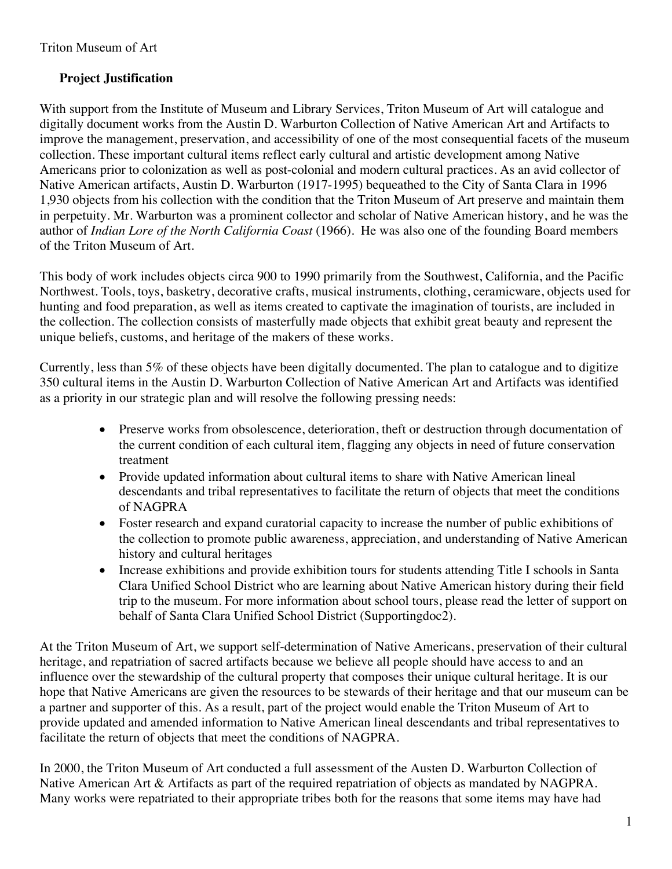### **Project Justification**

With support from the Institute of Museum and Library Services, Triton Museum of Art will catalogue and digitally document works from the Austin D. Warburton Collection of Native American Art and Artifacts to improve the management, preservation, and accessibility of one of the most consequential facets of the museum collection. These important cultural items reflect early cultural and artistic development among Native Americans prior to colonization as well as post-colonial and modern cultural practices. As an avid collector of Native American artifacts, Austin D. Warburton (1917-1995) bequeathed to the City of Santa Clara in 1996 1,930 objects from his collection with the condition that the Triton Museum of Art preserve and maintain them in perpetuity. Mr. Warburton was a prominent collector and scholar of Native American history, and he was the author of *Indian Lore of the North California Coast* (1966). He was also one of the founding Board members of the Triton Museum of Art.

This body of work includes objects circa 900 to 1990 primarily from the Southwest, California, and the Pacific Northwest. Tools, toys, basketry, decorative crafts, musical instruments, clothing, ceramicware, objects used for hunting and food preparation, as well as items created to captivate the imagination of tourists, are included in the collection. The collection consists of masterfully made objects that exhibit great beauty and represent the unique beliefs, customs, and heritage of the makers of these works.

Currently, less than 5% of these objects have been digitally documented. The plan to catalogue and to digitize 350 cultural items in the Austin D. Warburton Collection of Native American Art and Artifacts was identified as a priority in our strategic plan and will resolve the following pressing needs:

- Preserve works from obsolescence, deterioration, theft or destruction through documentation of the current condition of each cultural item, flagging any objects in need of future conservation treatment
- Provide updated information about cultural items to share with Native American lineal descendants and tribal representatives to facilitate the return of objects that meet the conditions of NAGPRA
- Foster research and expand curatorial capacity to increase the number of public exhibitions of the collection to promote public awareness, appreciation, and understanding of Native American history and cultural heritages
- Increase exhibitions and provide exhibition tours for students attending Title I schools in Santa Clara Unified School District who are learning about Native American history during their field trip to the museum. For more information about school tours, please read the letter of support on behalf of Santa Clara Unified School District (Supportingdoc2).

At the Triton Museum of Art, we support self-determination of Native Americans, preservation of their cultural heritage, and repatriation of sacred artifacts because we believe all people should have access to and an influence over the stewardship of the cultural property that composes their unique cultural heritage. It is our hope that Native Americans are given the resources to be stewards of their heritage and that our museum can be a partner and supporter of this. As a result, part of the project would enable the Triton Museum of Art to provide updated and amended information to Native American lineal descendants and tribal representatives to facilitate the return of objects that meet the conditions of NAGPRA.

In 2000, the Triton Museum of Art conducted a full assessment of the Austen D. Warburton Collection of Native American Art & Artifacts as part of the required repatriation of objects as mandated by NAGPRA. Many works were repatriated to their appropriate tribes both for the reasons that some items may have had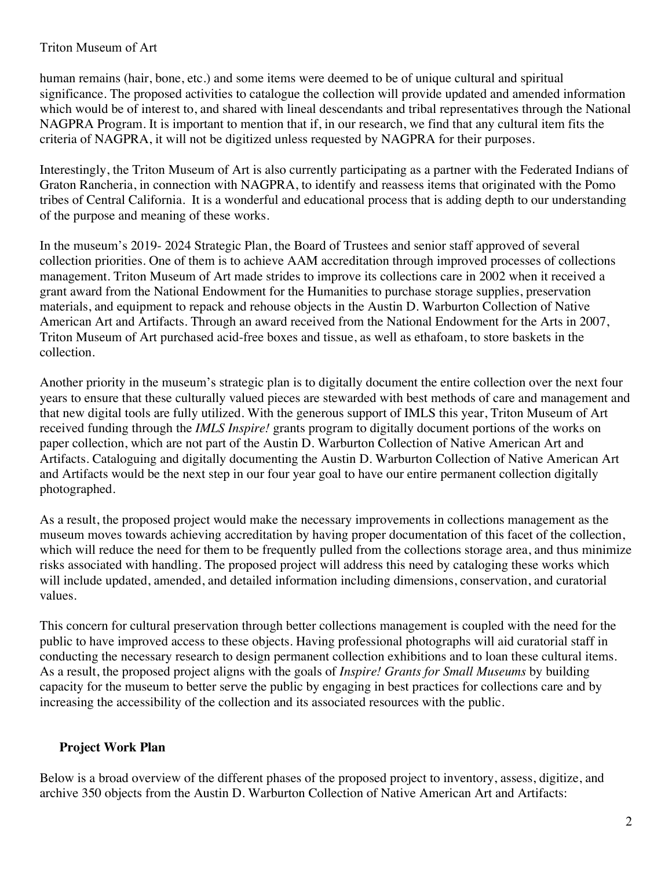#### Triton Museum of Art

human remains (hair, bone, etc.) and some items were deemed to be of unique cultural and spiritual significance. The proposed activities to catalogue the collection will provide updated and amended information which would be of interest to, and shared with lineal descendants and tribal representatives through the National NAGPRA Program. It is important to mention that if, in our research, we find that any cultural item fits the criteria of NAGPRA, it will not be digitized unless requested by NAGPRA for their purposes.

Interestingly, the Triton Museum of Art is also currently participating as a partner with the Federated Indians of Graton Rancheria, in connection with NAGPRA, to identify and reassess items that originated with the Pomo tribes of Central California. It is a wonderful and educational process that is adding depth to our understanding of the purpose and meaning of these works.

In the museum's 2019- 2024 Strategic Plan, the Board of Trustees and senior staff approved of several collection priorities. One of them is to achieve AAM accreditation through improved processes of collections management. Triton Museum of Art made strides to improve its collections care in 2002 when it received a grant award from the National Endowment for the Humanities to purchase storage supplies, preservation materials, and equipment to repack and rehouse objects in the Austin D. Warburton Collection of Native American Art and Artifacts. Through an award received from the National Endowment for the Arts in 2007, Triton Museum of Art purchased acid-free boxes and tissue, as well as ethafoam, to store baskets in the collection.

Another priority in the museum's strategic plan is to digitally document the entire collection over the next four years to ensure that these culturally valued pieces are stewarded with best methods of care and management and that new digital tools are fully utilized. With the generous support of IMLS this year, Triton Museum of Art received funding through the *IMLS Inspire!* grants program to digitally document portions of the works on paper collection, which are not part of the Austin D. Warburton Collection of Native American Art and Artifacts. Cataloguing and digitally documenting the Austin D. Warburton Collection of Native American Art and Artifacts would be the next step in our four year goal to have our entire permanent collection digitally photographed.

As a result, the proposed project would make the necessary improvements in collections management as the museum moves towards achieving accreditation by having proper documentation of this facet of the collection, which will reduce the need for them to be frequently pulled from the collections storage area, and thus minimize risks associated with handling. The proposed project will address this need by cataloging these works which will include updated, amended, and detailed information including dimensions, conservation, and curatorial values.

This concern for cultural preservation through better collections management is coupled with the need for the public to have improved access to these objects. Having professional photographs will aid curatorial staff in conducting the necessary research to design permanent collection exhibitions and to loan these cultural items. As a result, the proposed project aligns with the goals of *Inspire! Grants for Small Museums* by building capacity for the museum to better serve the public by engaging in best practices for collections care and by increasing the accessibility of the collection and its associated resources with the public.

#### **Project Work Plan**

Below is a broad overview of the different phases of the proposed project to inventory, assess, digitize, and archive 350 objects from the Austin D. Warburton Collection of Native American Art and Artifacts: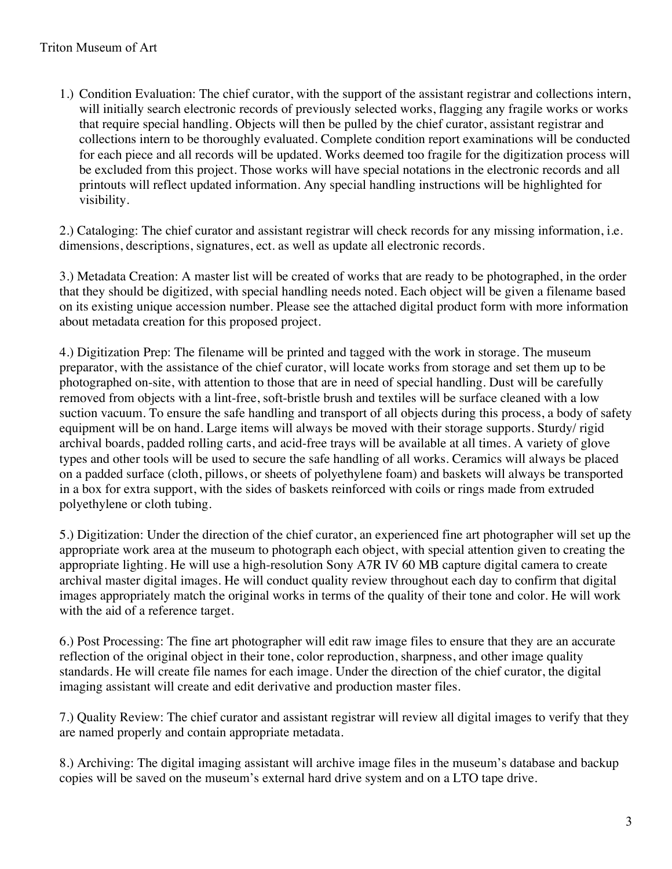1.) Condition Evaluation: The chief curator, with the support of the assistant registrar and collections intern, will initially search electronic records of previously selected works, flagging any fragile works or works that require special handling. Objects will then be pulled by the chief curator, assistant registrar and collections intern to be thoroughly evaluated. Complete condition report examinations will be conducted for each piece and all records will be updated. Works deemed too fragile for the digitization process will be excluded from this project. Those works will have special notations in the electronic records and all printouts will reflect updated information. Any special handling instructions will be highlighted for visibility.

2.) Cataloging: The chief curator and assistant registrar will check records for any missing information, i.e. dimensions, descriptions, signatures, ect. as well as update all electronic records.

3.) Metadata Creation: A master list will be created of works that are ready to be photographed, in the order that they should be digitized, with special handling needs noted. Each object will be given a filename based on its existing unique accession number. Please see the attached digital product form with more information about metadata creation for this proposed project.

4.) Digitization Prep: The filename will be printed and tagged with the work in storage. The museum preparator, with the assistance of the chief curator, will locate works from storage and set them up to be photographed on-site, with attention to those that are in need of special handling. Dust will be carefully removed from objects with a lint-free, soft-bristle brush and textiles will be surface cleaned with a low suction vacuum. To ensure the safe handling and transport of all objects during this process, a body of safety equipment will be on hand. Large items will always be moved with their storage supports. Sturdy/ rigid archival boards, padded rolling carts, and acid-free trays will be available at all times. A variety of glove types and other tools will be used to secure the safe handling of all works. Ceramics will always be placed on a padded surface (cloth, pillows, or sheets of polyethylene foam) and baskets will always be transported in a box for extra support, with the sides of baskets reinforced with coils or rings made from extruded polyethylene or cloth tubing.

5.) Digitization: Under the direction of the chief curator, an experienced fine art photographer will set up the appropriate work area at the museum to photograph each object, with special attention given to creating the appropriate lighting. He will use a high-resolution Sony A7R IV 60 MB capture digital camera to create archival master digital images. He will conduct quality review throughout each day to confirm that digital images appropriately match the original works in terms of the quality of their tone and color. He will work with the aid of a reference target.

6.) Post Processing: The fine art photographer will edit raw image files to ensure that they are an accurate reflection of the original object in their tone, color reproduction, sharpness, and other image quality standards. He will create file names for each image. Under the direction of the chief curator, the digital imaging assistant will create and edit derivative and production master files.

7.) Quality Review: The chief curator and assistant registrar will review all digital images to verify that they are named properly and contain appropriate metadata.

8.) Archiving: The digital imaging assistant will archive image files in the museum's database and backup copies will be saved on the museum's external hard drive system and on a LTO tape drive.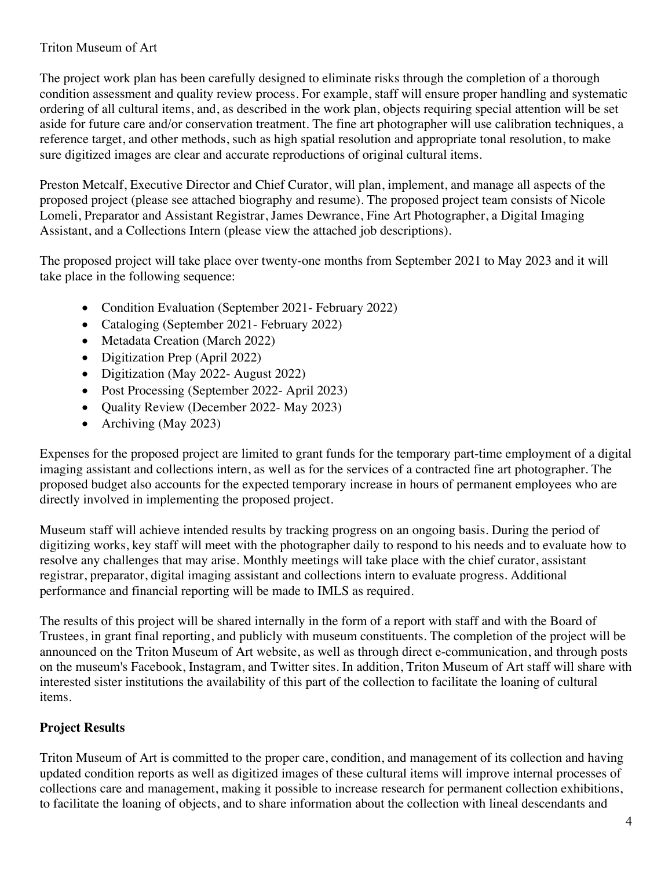#### Triton Museum of Art

The project work plan has been carefully designed to eliminate risks through the completion of a thorough condition assessment and quality review process. For example, staff will ensure proper handling and systematic ordering of all cultural items, and, as described in the work plan, objects requiring special attention will be set aside for future care and/or conservation treatment. The fine art photographer will use calibration techniques, a reference target, and other methods, such as high spatial resolution and appropriate tonal resolution, to make sure digitized images are clear and accurate reproductions of original cultural items.

Preston Metcalf, Executive Director and Chief Curator, will plan, implement, and manage all aspects of the proposed project (please see attached biography and resume). The proposed project team consists of Nicole Lomeli, Preparator and Assistant Registrar, James Dewrance, Fine Art Photographer, a Digital Imaging Assistant, and a Collections Intern (please view the attached job descriptions).

The proposed project will take place over twenty-one months from September 2021 to May 2023 and it will take place in the following sequence:

- Condition Evaluation (September 2021- February 2022)
- Cataloging (September 2021 February 2022)
- Metadata Creation (March 2022)
- Digitization Prep (April 2022)
- Digitization (May 2022- August 2022)
- Post Processing (September 2022- April 2023)
- Quality Review (December 2022- May 2023)
- Archiving (May 2023)

Expenses for the proposed project are limited to grant funds for the temporary part-time employment of a digital imaging assistant and collections intern, as well as for the services of a contracted fine art photographer. The proposed budget also accounts for the expected temporary increase in hours of permanent employees who are directly involved in implementing the proposed project.

Museum staff will achieve intended results by tracking progress on an ongoing basis. During the period of digitizing works, key staff will meet with the photographer daily to respond to his needs and to evaluate how to resolve any challenges that may arise. Monthly meetings will take place with the chief curator, assistant registrar, preparator, digital imaging assistant and collections intern to evaluate progress. Additional performance and financial reporting will be made to IMLS as required.

The results of this project will be shared internally in the form of a report with staff and with the Board of Trustees, in grant final reporting, and publicly with museum constituents. The completion of the project will be announced on the Triton Museum of Art website, as well as through direct e-communication, and through posts on the museum's Facebook, Instagram, and Twitter sites. In addition, Triton Museum of Art staff will share with interested sister institutions the availability of this part of the collection to facilitate the loaning of cultural items.

## **Project Results**

Triton Museum of Art is committed to the proper care, condition, and management of its collection and having updated condition reports as well as digitized images of these cultural items will improve internal processes of collections care and management, making it possible to increase research for permanent collection exhibitions, to facilitate the loaning of objects, and to share information about the collection with lineal descendants and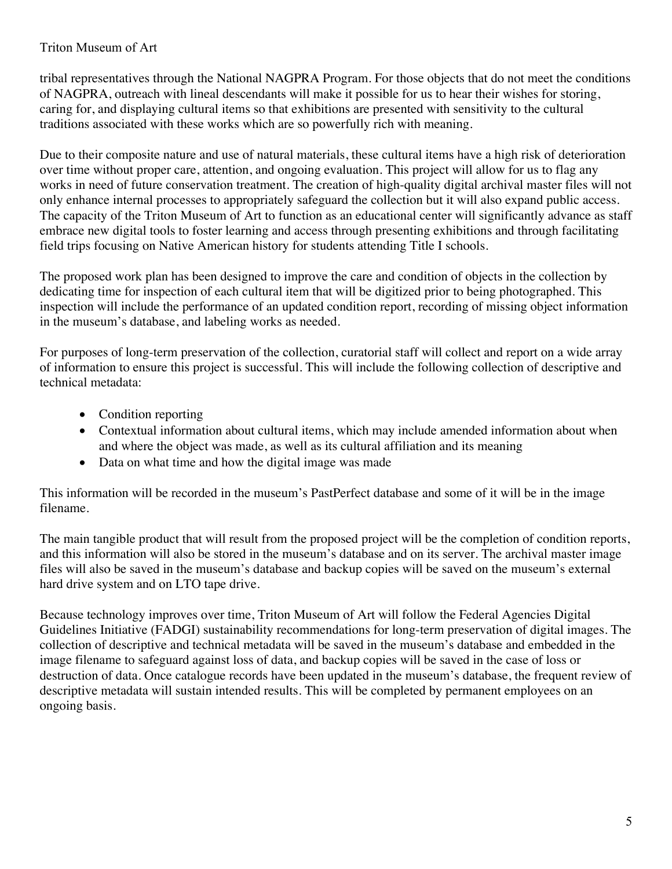#### Triton Museum of Art

tribal representatives through the National NAGPRA Program. For those objects that do not meet the conditions of NAGPRA, outreach with lineal descendants will make it possible for us to hear their wishes for storing, caring for, and displaying cultural items so that exhibitions are presented with sensitivity to the cultural traditions associated with these works which are so powerfully rich with meaning.

Due to their composite nature and use of natural materials, these cultural items have a high risk of deterioration over time without proper care, attention, and ongoing evaluation. This project will allow for us to flag any works in need of future conservation treatment. The creation of high-quality digital archival master files will not only enhance internal processes to appropriately safeguard the collection but it will also expand public access. The capacity of the Triton Museum of Art to function as an educational center will significantly advance as staff embrace new digital tools to foster learning and access through presenting exhibitions and through facilitating field trips focusing on Native American history for students attending Title I schools.

The proposed work plan has been designed to improve the care and condition of objects in the collection by dedicating time for inspection of each cultural item that will be digitized prior to being photographed. This inspection will include the performance of an updated condition report, recording of missing object information in the museum's database, and labeling works as needed.

For purposes of long-term preservation of the collection, curatorial staff will collect and report on a wide array of information to ensure this project is successful. This will include the following collection of descriptive and technical metadata:

- Condition reporting
- Contextual information about cultural items, which may include amended information about when and where the object was made, as well as its cultural affiliation and its meaning
- Data on what time and how the digital image was made

This information will be recorded in the museum's PastPerfect database and some of it will be in the image filename.

The main tangible product that will result from the proposed project will be the completion of condition reports, and this information will also be stored in the museum's database and on its server. The archival master image files will also be saved in the museum's database and backup copies will be saved on the museum's external hard drive system and on LTO tape drive.

Because technology improves over time, Triton Museum of Art will follow the Federal Agencies Digital Guidelines Initiative (FADGI) sustainability recommendations for long-term preservation of digital images. The collection of descriptive and technical metadata will be saved in the museum's database and embedded in the image filename to safeguard against loss of data, and backup copies will be saved in the case of loss or destruction of data. Once catalogue records have been updated in the museum's database, the frequent review of descriptive metadata will sustain intended results. This will be completed by permanent employees on an ongoing basis.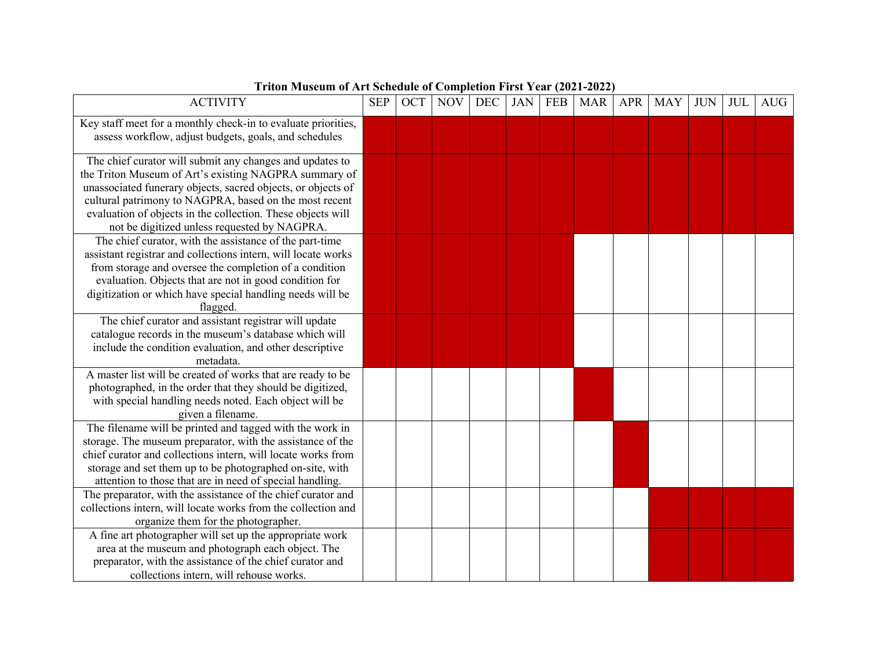| <b>ACTIVITY</b>                                                                                                                                                                                                                                                                                                                                            | <b>SEP</b> | OCT | <b>NOV</b> | DEC | <b>JAN</b> | <b>FEB</b> | <b>MAR</b> | <b>APR</b> | <b>MAY</b> | <b>JUN</b> | JUL | AUG |
|------------------------------------------------------------------------------------------------------------------------------------------------------------------------------------------------------------------------------------------------------------------------------------------------------------------------------------------------------------|------------|-----|------------|-----|------------|------------|------------|------------|------------|------------|-----|-----|
| Key staff meet for a monthly check-in to evaluate priorities,<br>assess workflow, adjust budgets, goals, and schedules                                                                                                                                                                                                                                     |            |     |            |     |            |            |            |            |            |            |     |     |
| The chief curator will submit any changes and updates to<br>the Triton Museum of Art's existing NAGPRA summary of<br>unassociated funerary objects, sacred objects, or objects of<br>cultural patrimony to NAGPRA, based on the most recent<br>evaluation of objects in the collection. These objects will<br>not be digitized unless requested by NAGPRA. |            |     |            |     |            |            |            |            |            |            |     |     |
| The chief curator, with the assistance of the part-time<br>assistant registrar and collections intern, will locate works<br>from storage and oversee the completion of a condition<br>evaluation. Objects that are not in good condition for<br>digitization or which have special handling needs will be<br>flagged.                                      |            |     |            |     |            |            |            |            |            |            |     |     |
| The chief curator and assistant registrar will update<br>catalogue records in the museum's database which will<br>include the condition evaluation, and other descriptive<br>metadata.                                                                                                                                                                     |            |     |            |     |            |            |            |            |            |            |     |     |
| A master list will be created of works that are ready to be<br>photographed, in the order that they should be digitized,<br>with special handling needs noted. Each object will be<br>given a filename.                                                                                                                                                    |            |     |            |     |            |            |            |            |            |            |     |     |
| The filename will be printed and tagged with the work in<br>storage. The museum preparator, with the assistance of the<br>chief curator and collections intern, will locate works from<br>storage and set them up to be photographed on-site, with<br>attention to those that are in need of special handling.                                             |            |     |            |     |            |            |            |            |            |            |     |     |
| The preparator, with the assistance of the chief curator and<br>collections intern, will locate works from the collection and<br>organize them for the photographer.                                                                                                                                                                                       |            |     |            |     |            |            |            |            |            |            |     |     |
| A fine art photographer will set up the appropriate work<br>area at the museum and photograph each object. The<br>preparator, with the assistance of the chief curator and<br>collections intern, will rehouse works.                                                                                                                                      |            |     |            |     |            |            |            |            |            |            |     |     |

#### **Triton Museum of Art Schedule of Completion First Year (2021-2022)**